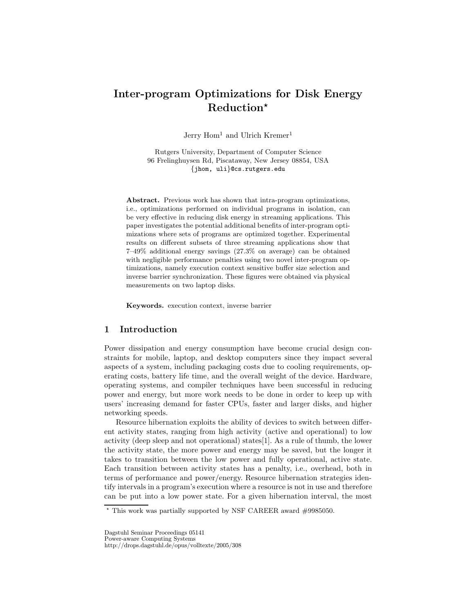# **Inter-program Optimizations for Disk Energy Reduction***?*

Jerry  $Hom<sup>1</sup>$  and Ulrich Kremer<sup>1</sup>

Rutgers University, Department of Computer Science 96 Frelinghuysen Rd, Piscataway, New Jersey 08854, USA {jhom, uli}@cs.rutgers.edu

**Abstract.** Previous work has shown that intra-program optimizations, i.e., optimizations performed on individual programs in isolation, can be very effective in reducing disk energy in streaming applications. This paper investigates the potential additional benefits of inter-program optimizations where sets of programs are optimized together. Experimental results on different subsets of three streaming applications show that 7–49% additional energy savings (27.3% on average) can be obtained with negligible performance penalties using two novel inter-program optimizations, namely execution context sensitive buffer size selection and inverse barrier synchronization. These figures were obtained via physical measurements on two laptop disks.

**Keywords.** execution context, inverse barrier

### **1 Introduction**

Power dissipation and energy consumption have become crucial design constraints for mobile, laptop, and desktop computers since they impact several aspects of a system, including packaging costs due to cooling requirements, operating costs, battery life time, and the overall weight of the device. Hardware, operating systems, and compiler techniques have been successful in reducing power and energy, but more work needs to be done in order to keep up with users' increasing demand for faster CPUs, faster and larger disks, and higher networking speeds.

Resource hibernation exploits the ability of devices to switch between different activity states, ranging from high activity (active and operational) to low activity (deep sleep and not operational) states[1]. As a rule of thumb, the lower the activity state, the more power and energy may be saved, but the longer it takes to transition between the low power and fully operational, active state. Each transition between activity states has a penalty, i.e., overhead, both in terms of performance and power/energy. Resource hibernation strategies identify intervals in a program's execution where a resource is not in use and therefore can be put into a low power state. For a given hibernation interval, the most

Power-aware Computing Systems

http://drops.dagstuhl.de/opus/volltexte/2005/308

<sup>?</sup> This work was partially supported by NSF CAREER award #9985050.

Dagstuhl Seminar Proceedings 05141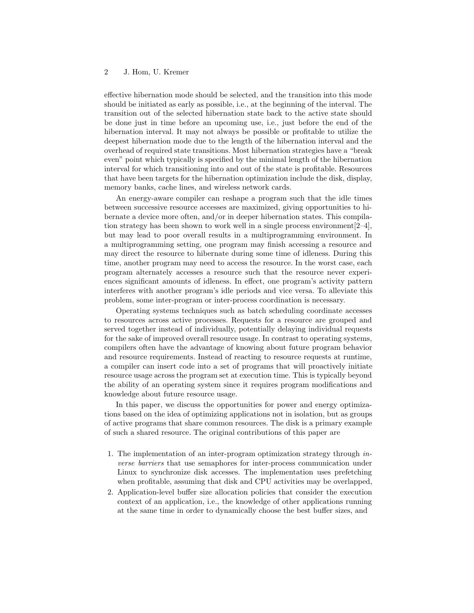effective hibernation mode should be selected, and the transition into this mode should be initiated as early as possible, i.e., at the beginning of the interval. The transition out of the selected hibernation state back to the active state should be done just in time before an upcoming use, i.e., just before the end of the hibernation interval. It may not always be possible or profitable to utilize the deepest hibernation mode due to the length of the hibernation interval and the overhead of required state transitions. Most hibernation strategies have a "break even" point which typically is specified by the minimal length of the hibernation interval for which transitioning into and out of the state is profitable. Resources that have been targets for the hibernation optimization include the disk, display, memory banks, cache lines, and wireless network cards.

An energy-aware compiler can reshape a program such that the idle times between successive resource accesses are maximized, giving opportunities to hibernate a device more often, and/or in deeper hibernation states. This compilation strategy has been shown to work well in a single process environment  $[2-4]$ , but may lead to poor overall results in a multiprogramming environment. In a multiprogramming setting, one program may finish accessing a resource and may direct the resource to hibernate during some time of idleness. During this time, another program may need to access the resource. In the worst case, each program alternately accesses a resource such that the resource never experiences significant amounts of idleness. In effect, one program's activity pattern interferes with another program's idle periods and vice versa. To alleviate this problem, some inter-program or inter-process coordination is necessary.

Operating systems techniques such as batch scheduling coordinate accesses to resources across active processes. Requests for a resource are grouped and served together instead of individually, potentially delaying individual requests for the sake of improved overall resource usage. In contrast to operating systems, compilers often have the advantage of knowing about future program behavior and resource requirements. Instead of reacting to resource requests at runtime, a compiler can insert code into a set of programs that will proactively initiate resource usage across the program set at execution time. This is typically beyond the ability of an operating system since it requires program modifications and knowledge about future resource usage.

In this paper, we discuss the opportunities for power and energy optimizations based on the idea of optimizing applications not in isolation, but as groups of active programs that share common resources. The disk is a primary example of such a shared resource. The original contributions of this paper are

- 1. The implementation of an inter-program optimization strategy through *inverse barriers* that use semaphores for inter-process communication under Linux to synchronize disk accesses. The implementation uses prefetching when profitable, assuming that disk and CPU activities may be overlapped,
- 2. Application-level buffer size allocation policies that consider the execution context of an application, i.e., the knowledge of other applications running at the same time in order to dynamically choose the best buffer sizes, and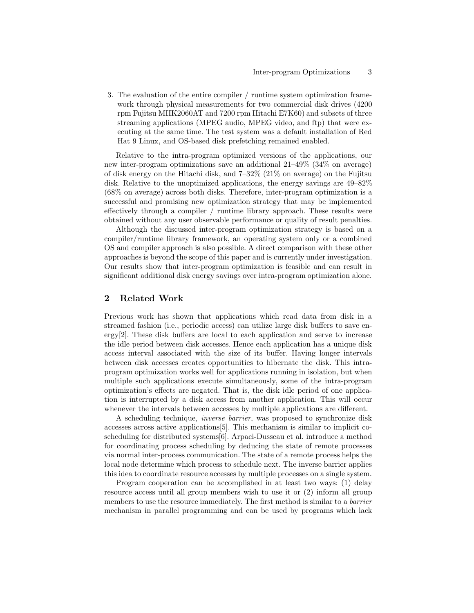3. The evaluation of the entire compiler / runtime system optimization framework through physical measurements for two commercial disk drives (4200 rpm Fujitsu MHK2060AT and 7200 rpm Hitachi E7K60) and subsets of three streaming applications (MPEG audio, MPEG video, and ftp) that were executing at the same time. The test system was a default installation of Red Hat 9 Linux, and OS-based disk prefetching remained enabled.

Relative to the intra-program optimized versions of the applications, our new inter-program optimizations save an additional 21–49% (34% on average) of disk energy on the Hitachi disk, and 7–32% (21% on average) on the Fujitsu disk. Relative to the unoptimized applications, the energy savings are 49–82% (68% on average) across both disks. Therefore, inter-program optimization is a successful and promising new optimization strategy that may be implemented effectively through a compiler / runtime library approach. These results were obtained without any user observable performance or quality of result penalties.

Although the discussed inter-program optimization strategy is based on a compiler/runtime library framework, an operating system only or a combined OS and compiler approach is also possible. A direct comparison with these other approaches is beyond the scope of this paper and is currently under investigation. Our results show that inter-program optimization is feasible and can result in significant additional disk energy savings over intra-program optimization alone.

# **2 Related Work**

Previous work has shown that applications which read data from disk in a streamed fashion (i.e., periodic access) can utilize large disk buffers to save energy[2]. These disk buffers are local to each application and serve to increase the idle period between disk accesses. Hence each application has a unique disk access interval associated with the size of its buffer. Having longer intervals between disk accesses creates opportunities to hibernate the disk. This intraprogram optimization works well for applications running in isolation, but when multiple such applications execute simultaneously, some of the intra-program optimization's effects are negated. That is, the disk idle period of one application is interrupted by a disk access from another application. This will occur whenever the intervals between accesses by multiple applications are different.

A scheduling technique, *inverse barrier*, was proposed to synchronize disk accesses across active applications[5]. This mechanism is similar to implicit coscheduling for distributed systems[6]. Arpaci-Dusseau et al. introduce a method for coordinating process scheduling by deducing the state of remote processes via normal inter-process communication. The state of a remote process helps the local node determine which process to schedule next. The inverse barrier applies this idea to coordinate resource accesses by multiple processes on a single system.

Program cooperation can be accomplished in at least two ways: (1) delay resource access until all group members wish to use it or (2) inform all group members to use the resource immediately. The first method is similar to a *barrier* mechanism in parallel programming and can be used by programs which lack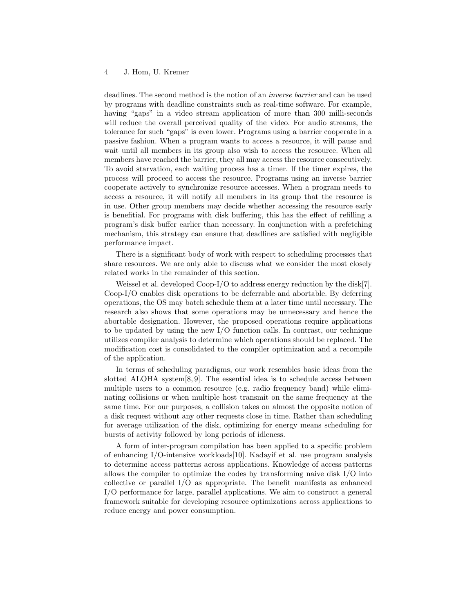deadlines. The second method is the notion of an *inverse barrier* and can be used by programs with deadline constraints such as real-time software. For example, having "gaps" in a video stream application of more than 300 milli-seconds will reduce the overall perceived quality of the video. For audio streams, the tolerance for such "gaps" is even lower. Programs using a barrier cooperate in a passive fashion. When a program wants to access a resource, it will pause and wait until all members in its group also wish to access the resource. When all members have reached the barrier, they all may access the resource consecutively. To avoid starvation, each waiting process has a timer. If the timer expires, the process will proceed to access the resource. Programs using an inverse barrier cooperate actively to synchronize resource accesses. When a program needs to access a resource, it will notify all members in its group that the resource is in use. Other group members may decide whether accessing the resource early is benefitial. For programs with disk buffering, this has the effect of refilling a program's disk buffer earlier than necessary. In conjunction with a prefetching mechanism, this strategy can ensure that deadlines are satisfied with negligible performance impact.

There is a significant body of work with respect to scheduling processes that share resources. We are only able to discuss what we consider the most closely related works in the remainder of this section.

Weissel et al. developed Coop-I/O to address energy reduction by the disk[7]. Coop-I/O enables disk operations to be deferrable and abortable. By deferring operations, the OS may batch schedule them at a later time until necessary. The research also shows that some operations may be unnecessary and hence the abortable designation. However, the proposed operations require applications to be updated by using the new I/O function calls. In contrast, our technique utilizes compiler analysis to determine which operations should be replaced. The modification cost is consolidated to the compiler optimization and a recompile of the application.

In terms of scheduling paradigms, our work resembles basic ideas from the slotted ALOHA system[8, 9]. The essential idea is to schedule access between multiple users to a common resource (e.g. radio frequency band) while eliminating collisions or when multiple host transmit on the same frequency at the same time. For our purposes, a collision takes on almost the opposite notion of a disk request without any other requests close in time. Rather than scheduling for average utilization of the disk, optimizing for energy means scheduling for bursts of activity followed by long periods of idleness.

A form of inter-program compilation has been applied to a specific problem of enhancing I/O-intensive workloads[10]. Kadayif et al. use program analysis to determine access patterns across applications. Knowledge of access patterns allows the compiler to optimize the codes by transforming naive disk I/O into collective or parallel I/O as appropriate. The benefit manifests as enhanced I/O performance for large, parallel applications. We aim to construct a general framework suitable for developing resource optimizations across applications to reduce energy and power consumption.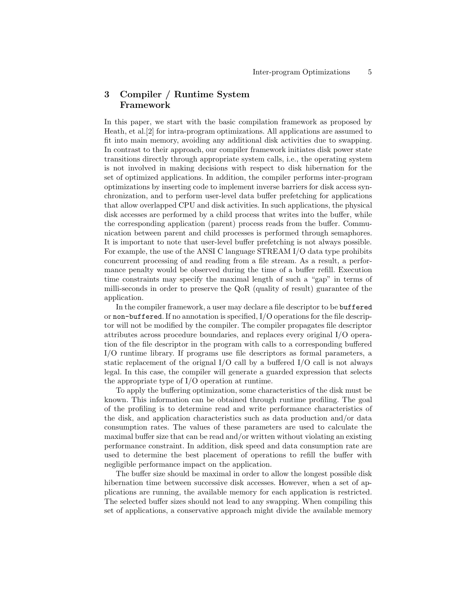# **3 Compiler / Runtime System Framework**

In this paper, we start with the basic compilation framework as proposed by Heath, et al.[2] for intra-program optimizations. All applications are assumed to fit into main memory, avoiding any additional disk activities due to swapping. In contrast to their approach, our compiler framework initiates disk power state transitions directly through appropriate system calls, i.e., the operating system is not involved in making decisions with respect to disk hibernation for the set of optimized applications. In addition, the compiler performs inter-program optimizations by inserting code to implement inverse barriers for disk access synchronization, and to perform user-level data buffer prefetching for applications that allow overlapped CPU and disk activities. In such applications, the physical disk accesses are performed by a child process that writes into the buffer, while the corresponding application (parent) process reads from the buffer. Communication between parent and child processes is performed through semaphores. It is important to note that user-level buffer prefetching is not always possible. For example, the use of the ANSI C language STREAM I/O data type prohibits concurrent processing of and reading from a file stream. As a result, a performance penalty would be observed during the time of a buffer refill. Execution time constraints may specify the maximal length of such a "gap" in terms of milli-seconds in order to preserve the QoR (quality of result) guarantee of the application.

In the compiler framework, a user may declare a file descriptor to be buffered or non-buffered. If no annotation is specified, I/O operations for the file descriptor will not be modified by the compiler. The compiler propagates file descriptor attributes across procedure boundaries, and replaces every original I/O operation of the file descriptor in the program with calls to a corresponding buffered I/O runtime library. If programs use file descriptors as formal parameters, a static replacement of the orignal I/O call by a buffered I/O call is not always legal. In this case, the compiler will generate a guarded expression that selects the appropriate type of I/O operation at runtime.

To apply the buffering optimization, some characteristics of the disk must be known. This information can be obtained through runtime profiling. The goal of the profiling is to determine read and write performance characteristics of the disk, and application characteristics such as data production and/or data consumption rates. The values of these parameters are used to calculate the maximal buffer size that can be read and/or written without violating an existing performance constraint. In addition, disk speed and data consumption rate are used to determine the best placement of operations to refill the buffer with negligible performance impact on the application.

The buffer size should be maximal in order to allow the longest possible disk hibernation time between successive disk accesses. However, when a set of applications are running, the available memory for each application is restricted. The selected buffer sizes should not lead to any swapping. When compiling this set of applications, a conservative approach might divide the available memory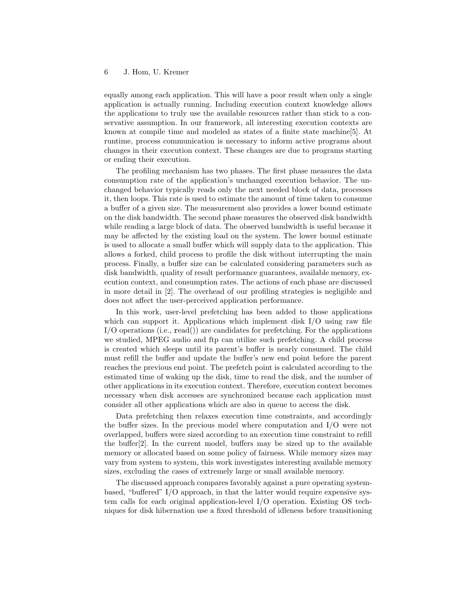equally among each application. This will have a poor result when only a single application is actually running. Including execution context knowledge allows the applications to truly use the available resources rather than stick to a conservative assumption. In our framework, all interesting execution contexts are known at compile time and modeled as states of a finite state machine[5]. At runtime, process communication is necessary to inform active programs about changes in their execution context. These changes are due to programs starting or ending their execution.

The profiling mechanism has two phases. The first phase measures the data consumption rate of the application's unchanged execution behavior. The unchanged behavior typically reads only the next needed block of data, processes it, then loops. This rate is used to estimate the amount of time taken to consume a buffer of a given size. The measurement also provides a lower bound estimate on the disk bandwidth. The second phase measures the observed disk bandwidth while reading a large block of data. The observed bandwidth is useful because it may be affected by the existing load on the system. The lower bound estimate is used to allocate a small buffer which will supply data to the application. This allows a forked, child process to profile the disk without interrupting the main process. Finally, a buffer size can be calculated considering parameters such as disk bandwidth, quality of result performance guarantees, available memory, execution context, and consumption rates. The actions of each phase are discussed in more detail in [2]. The overhead of our profiling strategies is negligible and does not affect the user-perceived application performance.

In this work, user-level prefetching has been added to those applications which can support it. Applications which implement disk I/O using raw file  $I/O$  operations (i.e.,  $read()$ ) are candidates for prefetching. For the applications we studied, MPEG audio and ftp can utilize such prefetching. A child process is created which sleeps until its parent's buffer is nearly consumed. The child must refill the buffer and update the buffer's new end point before the parent reaches the previous end point. The prefetch point is calculated according to the estimated time of waking up the disk, time to read the disk, and the number of other applications in its execution context. Therefore, execution context becomes necessary when disk accesses are synchronized because each application must consider all other applications which are also in queue to access the disk.

Data prefetching then relaxes execution time constraints, and accordingly the buffer sizes. In the previous model where computation and I/O were not overlapped, buffers were sized according to an execution time constraint to refill the buffer[2]. In the current model, buffers may be sized up to the available memory or allocated based on some policy of fairness. While memory sizes may vary from system to system, this work investigates interesting available memory sizes, excluding the cases of extremely large or small available memory.

The discussed approach compares favorably against a pure operating systembased, "buffered" I/O approach, in that the latter would require expensive system calls for each original application-level I/O operation. Existing OS techniques for disk hibernation use a fixed threshold of idleness before transitioning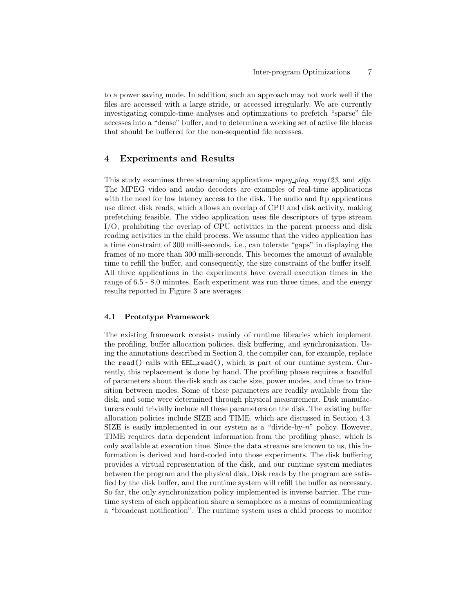to a power saving mode. In addition, such an approach may not work well if the files are accessed with a large stride, or accessed irregularly. We are currently investigating compile-time analyses and optimizations to prefetch "sparse" file accesses into a "dense" buffer, and to determine a working set of active file blocks that should be buffered for the non-sequential file accesses.

### **4 Experiments and Results**

This study examines three streaming applications *mpeg play*, *mpg123*, and *sftp*. The MPEG video and audio decoders are examples of real-time applications with the need for low latency access to the disk. The audio and ftp applications use direct disk reads, which allows an overlap of CPU and disk activity, making prefetching feasible. The video application uses file descriptors of type stream I/O, prohibiting the overlap of CPU activities in the parent process and disk reading activities in the child process. We assume that the video application has a time constraint of 300 milli-seconds, i.e., can tolerate "gaps" in displaying the frames of no more than 300 milli-seconds. This becomes the amount of available time to refill the buffer, and consequently, the size constraint of the buffer itself. All three applications in the experiments have overall execution times in the range of 6.5 - 8.0 minutes. Each experiment was run three times, and the energy results reported in Figure 3 are averages.

#### **4.1 Prototype Framework**

The existing framework consists mainly of runtime libraries which implement the profiling, buffer allocation policies, disk buffering, and synchronization. Using the annotations described in Section 3, the compiler can, for example, replace the read() calls with EEL read(), which is part of our runtime system. Currently, this replacement is done by hand. The profiling phase requires a handful of parameters about the disk such as cache size, power modes, and time to transition between modes. Some of these parameters are readily available from the disk, and some were determined through physical measurement. Disk manufacturers could trivially include all these parameters on the disk. The existing buffer allocation policies include SIZE and TIME, which are discussed in Section 4.3. SIZE is easily implemented in our system as a "divide-by- $n$ " policy. However, TIME requires data dependent information from the profiling phase, which is only available at execution time. Since the data streams are known to us, this information is derived and hard-coded into those experiments. The disk buffering provides a virtual representation of the disk, and our runtime system mediates between the program and the physical disk. Disk reads by the program are satisfied by the disk buffer, and the runtime system will refill the buffer as necessary. So far, the only synchronization policy implemented is inverse barrier. The runtime system of each application share a semaphore as a means of communicating a "broadcast notification". The runtime system uses a child process to monitor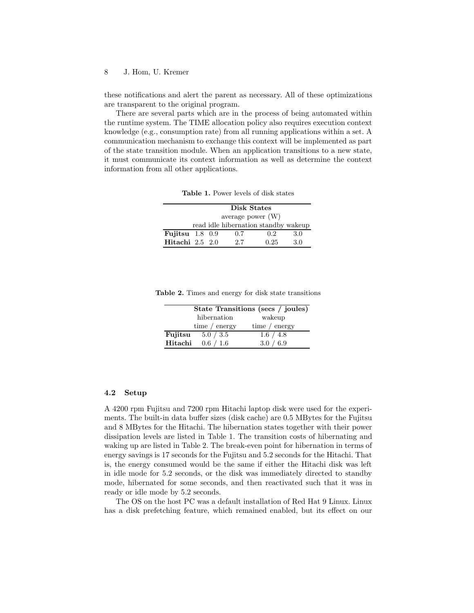these notifications and alert the parent as necessary. All of these optimizations are transparent to the original program.

There are several parts which are in the process of being automated within the runtime system. The TIME allocation policy also requires execution context knowledge (e.g., consumption rate) from all running applications within a set. A communication mechanism to exchange this context will be implemented as part of the state transition module. When an application transitions to a new state, it must communicate its context information as well as determine the context information from all other applications.

| <b>Table 1.</b> Power levels of disk states |  |  |  |
|---------------------------------------------|--|--|--|
|                                             |  |  |  |

|                        | Disk States         |  |                                      |                  |     |
|------------------------|---------------------|--|--------------------------------------|------------------|-----|
|                        | average power $(W)$ |  |                                      |                  |     |
|                        |                     |  | read idle hibernation standby wakeup |                  |     |
| <b>Fujitsu</b> 1.8 0.9 |                     |  | 0.7                                  | 0.2 <sub>z</sub> | 3.0 |
| $\mu$ itachi 2.5 2.0   |                     |  | 2.7                                  | 0.25             | 3.0 |
|                        |                     |  |                                      |                  |     |

|         | State Transitions (secs / joules) |                 |  |  |  |
|---------|-----------------------------------|-----------------|--|--|--|
|         | hibernation                       | wakeup          |  |  |  |
|         | time $/$ energy                   | time $/$ energy |  |  |  |
| Fujitsu | 5.0 / 3.5                         | 1.6 / 4.8       |  |  |  |
| Hitachi | 0.6 / 1.6                         | 3.0 / 6.9       |  |  |  |

**Table 2.** Times and energy for disk state transitions

#### **4.2 Setup**

A 4200 rpm Fujitsu and 7200 rpm Hitachi laptop disk were used for the experiments. The built-in data buffer sizes (disk cache) are 0.5 MBytes for the Fujitsu and 8 MBytes for the Hitachi. The hibernation states together with their power dissipation levels are listed in Table 1. The transition costs of hibernating and waking up are listed in Table 2. The break-even point for hibernation in terms of energy savings is 17 seconds for the Fujitsu and 5.2 seconds for the Hitachi. That is, the energy consumed would be the same if either the Hitachi disk was left in idle mode for 5.2 seconds, or the disk was immediately directed to standby mode, hibernated for some seconds, and then reactivated such that it was in ready or idle mode by 5.2 seconds.

The OS on the host PC was a default installation of Red Hat 9 Linux. Linux has a disk prefetching feature, which remained enabled, but its effect on our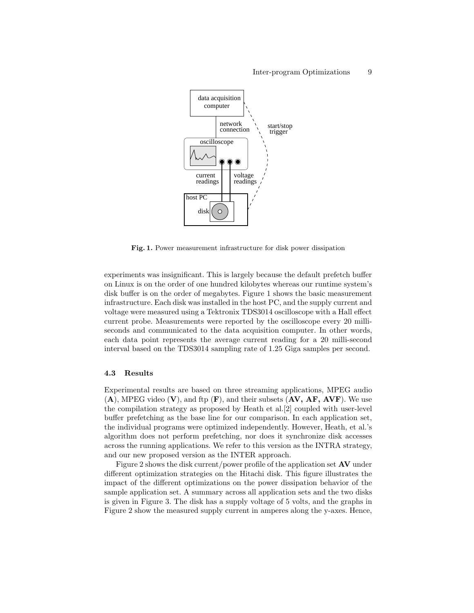

**Fig. 1.** Power measurement infrastructure for disk power dissipation

experiments was insignificant. This is largely because the default prefetch buffer on Linux is on the order of one hundred kilobytes whereas our runtime system's disk buffer is on the order of megabytes. Figure 1 shows the basic measurement infrastructure. Each disk was installed in the host PC, and the supply current and voltage were measured using a Tektronix TDS3014 oscilloscope with a Hall effect current probe. Measurements were reported by the oscilloscope every 20 milliseconds and communicated to the data acquisition computer. In other words, each data point represents the average current reading for a 20 milli-second interval based on the TDS3014 sampling rate of 1.25 Giga samples per second.

#### **4.3 Results**

Experimental results are based on three streaming applications, MPEG audio (**A**), MPEG video (**V**), and ftp (**F**), and their subsets (**AV, AF, AVF**). We use the compilation strategy as proposed by Heath et al.[2] coupled with user-level buffer prefetching as the base line for our comparison. In each application set, the individual programs were optimized independently. However, Heath, et al.'s algorithm does not perform prefetching, nor does it synchronize disk accesses across the running applications. We refer to this version as the INTRA strategy, and our new proposed version as the INTER approach.

Figure 2 shows the disk current/power profile of the application set **AV** under different optimization strategies on the Hitachi disk. This figure illustrates the impact of the different optimizations on the power dissipation behavior of the sample application set. A summary across all application sets and the two disks is given in Figure 3. The disk has a supply voltage of 5 volts, and the graphs in Figure 2 show the measured supply current in amperes along the y-axes. Hence,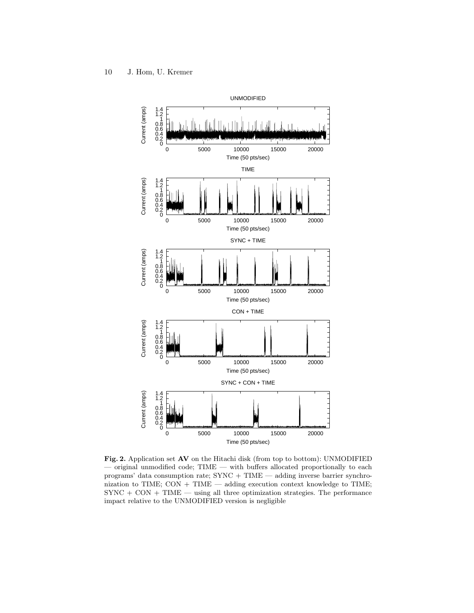

**Fig. 2.** Application set **AV** on the Hitachi disk (from top to bottom): UNMODIFIED — original unmodified code; TIME — with buffers allocated proportionally to each programs' data consumption rate; SYNC + TIME — adding inverse barrier synchronization to TIME;  $CON + TIME - adding execution context knowledge to TIME;$ SYNC + CON + TIME — using all three optimization strategies. The performance impact relative to the UNMODIFIED version is negligible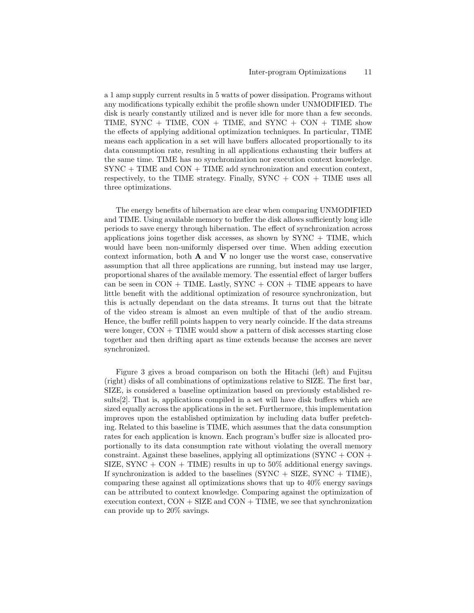a 1 amp supply current results in 5 watts of power dissipation. Programs without any modifications typically exhibit the profile shown under UNMODIFIED. The disk is nearly constantly utilized and is never idle for more than a few seconds. TIME, SYNC + TIME,  $CON + TIME$ , and  $SYNC + CON + TIME$  show the effects of applying additional optimization techniques. In particular, TIME means each application in a set will have buffers allocated proportionally to its data consumption rate, resulting in all applications exhausting their buffers at the same time. TIME has no synchronization nor execution context knowledge. SYNC + TIME and CON + TIME add synchronization and execution context, respectively, to the TIME strategy. Finally,  $SYNC + CON + TIME$  uses all three optimizations.

The energy benefits of hibernation are clear when comparing UNMODIFIED and TIME. Using available memory to buffer the disk allows sufficiently long idle periods to save energy through hibernation. The effect of synchronization across applications joins together disk accesses, as shown by  $SYNC + TIME$ , which would have been non-uniformly dispersed over time. When adding execution context information, both **A** and **V** no longer use the worst case, conservative assumption that all three applications are running, but instead may use larger, proportional shares of the available memory. The essential effect of larger buffers can be seen in  $CON + TIME$ . Lastly,  $SYNC + CON + TIME$  appears to have little benefit with the additional optimization of resource synchronization, but this is actually dependant on the data streams. It turns out that the bitrate of the video stream is almost an even multiple of that of the audio stream. Hence, the buffer refill points happen to very nearly coincide. If the data streams were longer, CON + TIME would show a pattern of disk accesses starting close together and then drifting apart as time extends because the acceses are never synchronized.

Figure 3 gives a broad comparison on both the Hitachi (left) and Fujitsu (right) disks of all combinations of optimizations relative to SIZE. The first bar, SIZE, is considered a baseline optimization based on previously established results[2]. That is, applications compiled in a set will have disk buffers which are sized equally across the applications in the set. Furthermore, this implementation improves upon the established optimization by including data buffer prefetching. Related to this baseline is TIME, which assumes that the data consumption rates for each application is known. Each program's buffer size is allocated proportionally to its data consumption rate without violating the overall memory constraint. Against these baselines, applying all optimizations  $(SYNC + CON +$ SIZE, SYNC + CON + TIME) results in up to  $50\%$  additional energy savings. If synchronization is added to the baselines  $(SYNC + SIZE, SYNC + TIME)$ . comparing these against all optimizations shows that up to 40% energy savings can be attributed to context knowledge. Comparing against the optimization of execution context,  $CON + SIZE$  and  $CON + TIME$ , we see that synchronization can provide up to 20% savings.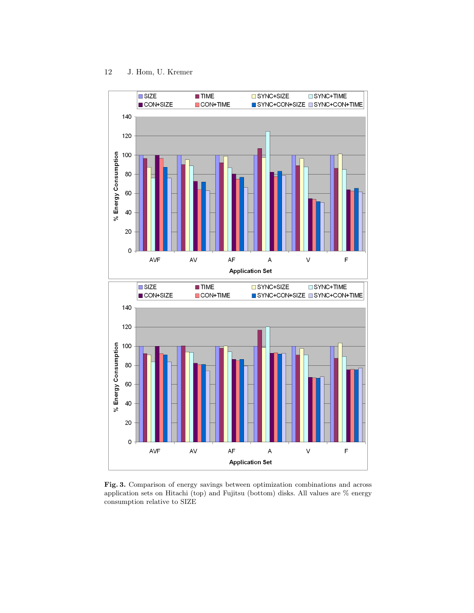

**Fig. 3.** Comparison of energy savings between optimization combinations and across application sets on Hitachi (top) and Fujitsu (bottom) disks. All values are % energy consumption relative to SIZE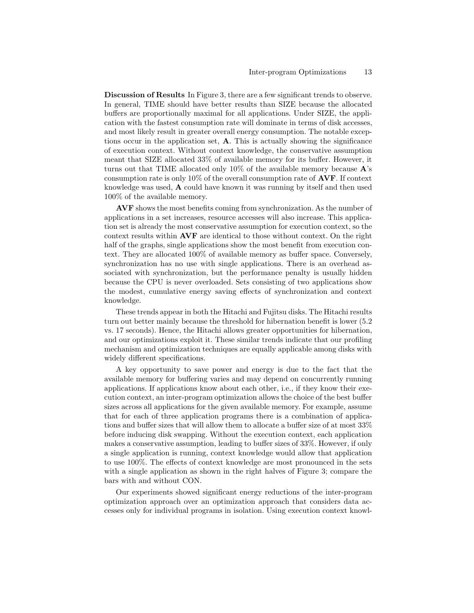**Discussion of Results** In Figure 3, there are a few significant trends to observe. In general, TIME should have better results than SIZE because the allocated buffers are proportionally maximal for all applications. Under SIZE, the application with the fastest consumption rate will dominate in terms of disk accesses, and most likely result in greater overall energy consumption. The notable exceptions occur in the application set, **A**. This is actually showing the significance of execution context. Without context knowledge, the conservative assumption meant that SIZE allocated 33% of available memory for its buffer. However, it turns out that TIME allocated only 10% of the available memory because **A**'s consumption rate is only 10% of the overall consumption rate of **AVF**. If context knowledge was used, **A** could have known it was running by itself and then used 100% of the available memory.

**AVF** shows the most benefits coming from synchronization. As the number of applications in a set increases, resource accesses will also increase. This application set is already the most conservative assumption for execution context, so the context results within **AVF** are identical to those without context. On the right half of the graphs, single applications show the most benefit from execution context. They are allocated 100% of available memory as buffer space. Conversely, synchronization has no use with single applications. There is an overhead associated with synchronization, but the performance penalty is usually hidden because the CPU is never overloaded. Sets consisting of two applications show the modest, cumulative energy saving effects of synchronization and context knowledge.

These trends appear in both the Hitachi and Fujitsu disks. The Hitachi results turn out better mainly because the threshold for hibernation benefit is lower (5.2 vs. 17 seconds). Hence, the Hitachi allows greater opportunities for hibernation, and our optimizations exploit it. These similar trends indicate that our profiling mechanism and optimization techniques are equally applicable among disks with widely different specifications.

A key opportunity to save power and energy is due to the fact that the available memory for buffering varies and may depend on concurrently running applications. If applications know about each other, i.e., if they know their execution context, an inter-program optimization allows the choice of the best buffer sizes across all applications for the given available memory. For example, assume that for each of three application programs there is a combination of applications and buffer sizes that will allow them to allocate a buffer size of at most 33% before inducing disk swapping. Without the execution context, each application makes a conservative assumption, leading to buffer sizes of 33%. However, if only a single application is running, context knowledge would allow that application to use 100%. The effects of context knowledge are most pronounced in the sets with a single application as shown in the right halves of Figure 3; compare the bars with and without CON.

Our experiments showed significant energy reductions of the inter-program optimization approach over an optimization approach that considers data accesses only for individual programs in isolation. Using execution context knowl-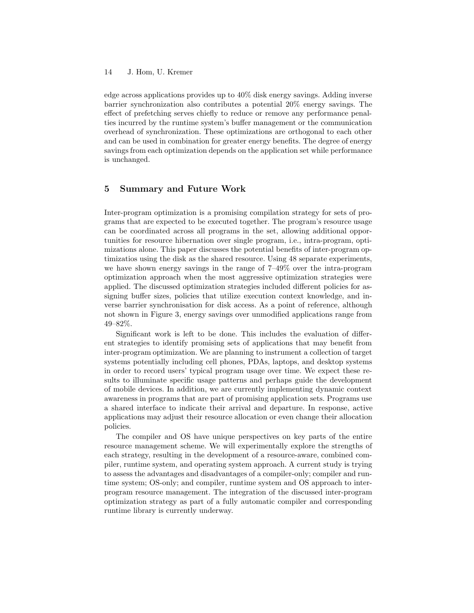edge across applications provides up to 40% disk energy savings. Adding inverse barrier synchronization also contributes a potential 20% energy savings. The effect of prefetching serves chiefly to reduce or remove any performance penalties incurred by the runtime system's buffer management or the communication overhead of synchronization. These optimizations are orthogonal to each other and can be used in combination for greater energy benefits. The degree of energy savings from each optimization depends on the application set while performance is unchanged.

### **5 Summary and Future Work**

Inter-program optimization is a promising compilation strategy for sets of programs that are expected to be executed together. The program's resource usage can be coordinated across all programs in the set, allowing additional opportunities for resource hibernation over single program, i.e., intra-program, optimizations alone. This paper discusses the potential benefits of inter-program optimizatios using the disk as the shared resource. Using 48 separate experiments, we have shown energy savings in the range of 7–49% over the intra-program optimization approach when the most aggressive optimization strategies were applied. The discussed optimization strategies included different policies for assigning buffer sizes, policies that utilize execution context knowledge, and inverse barrier synchronisation for disk access. As a point of reference, although not shown in Figure 3, energy savings over unmodified applications range from 49–82%.

Significant work is left to be done. This includes the evaluation of different strategies to identify promising sets of applications that may benefit from inter-program optimization. We are planning to instrument a collection of target systems potentially including cell phones, PDAs, laptops, and desktop systems in order to record users' typical program usage over time. We expect these results to illuminate specific usage patterns and perhaps guide the development of mobile devices. In addition, we are currently implementing dynamic context awareness in programs that are part of promising application sets. Programs use a shared interface to indicate their arrival and departure. In response, active applications may adjust their resource allocation or even change their allocation policies.

The compiler and OS have unique perspectives on key parts of the entire resource management scheme. We will experimentally explore the strengths of each strategy, resulting in the development of a resource-aware, combined compiler, runtime system, and operating system approach. A current study is trying to assess the advantages and disadvantages of a compiler-only; compiler and runtime system; OS-only; and compiler, runtime system and OS approach to interprogram resource management. The integration of the discussed inter-program optimization strategy as part of a fully automatic compiler and corresponding runtime library is currently underway.